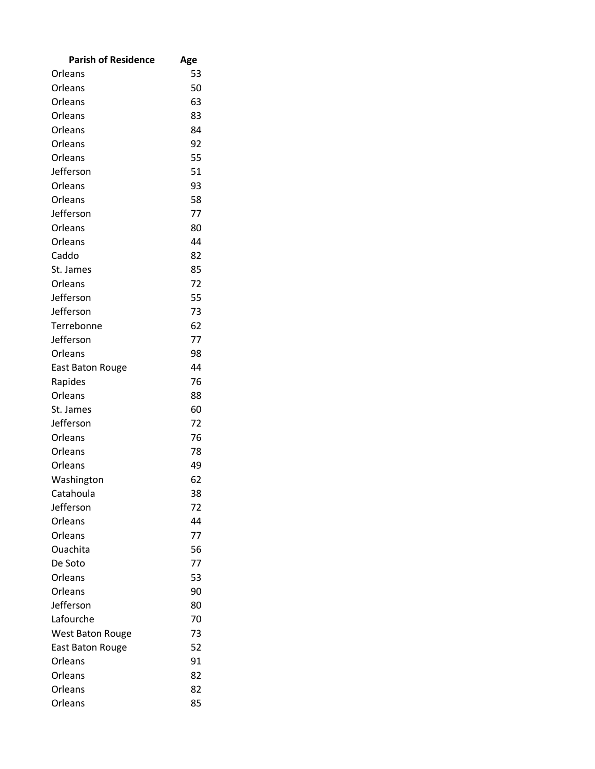| <b>Parish of Residence</b> | Age |
|----------------------------|-----|
| Orleans                    | 53  |
| Orleans                    | 50  |
| Orleans                    | 63  |
| Orleans                    | 83  |
| Orleans                    | 84  |
| Orleans                    | 92  |
| Orleans                    | 55  |
| Jefferson                  | 51  |
| Orleans                    | 93  |
| Orleans                    | 58  |
| Jefferson                  | 77  |
| Orleans                    | 80  |
| Orleans                    | 44  |
| Caddo                      | 82  |
| St. James                  | 85  |
| Orleans                    | 72  |
| Jefferson                  | 55  |
| Jefferson                  | 73  |
| Terrebonne                 | 62  |
| Jefferson                  | 77  |
| Orleans                    | 98  |
| <b>East Baton Rouge</b>    | 44  |
| Rapides                    | 76  |
| Orleans                    | 88  |
| St. James                  | 60  |
| Jefferson                  | 72  |
| Orleans                    | 76  |
| Orleans                    | 78  |
| Orleans                    | 49  |
| Washington                 | 62  |
| Catahoula                  | 38  |
| Jefferson                  | 72  |
| Orleans                    | 44  |
| Orleans                    | 77  |
| Ouachita                   | 56  |
| De Soto                    | 77  |
| Orleans                    | 53  |
| Orleans                    | 90  |
| Jefferson                  | 80  |
| Lafourche                  | 70  |
| <b>West Baton Rouge</b>    | 73  |
| <b>East Baton Rouge</b>    | 52  |
| Orleans                    | 91  |
| Orleans                    | 82  |
| Orleans                    | 82  |
| Orleans                    | 85  |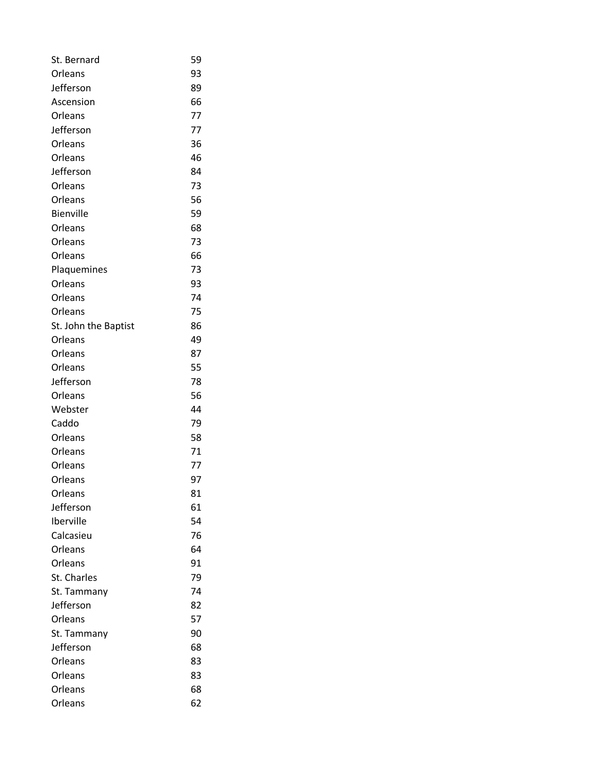| St. Bernard          | 59 |
|----------------------|----|
| Orleans              | 93 |
| Jefferson            | 89 |
| Ascension            | 66 |
| Orleans              | 77 |
| Jefferson            | 77 |
| Orleans              | 36 |
| Orleans              | 46 |
| Jefferson            | 84 |
| Orleans              | 73 |
| Orleans              | 56 |
| <b>Bienville</b>     | 59 |
| Orleans              | 68 |
| Orleans              | 73 |
| Orleans              | 66 |
| Plaquemines          | 73 |
| Orleans              | 93 |
| Orleans              | 74 |
| Orleans              | 75 |
| St. John the Baptist | 86 |
| Orleans              | 49 |
| Orleans              | 87 |
| Orleans              | 55 |
| Jefferson            | 78 |
| Orleans              | 56 |
| Webster              | 44 |
| Caddo                | 79 |
| Orleans              | 58 |
| Orleans              | 71 |
| Orleans              | 77 |
| Orleans              | 97 |
| Orleans              | 81 |
| Jefferson            | 61 |
| Iberville            | 54 |
| Calcasieu            | 76 |
| Orleans              | 64 |
| Orleans              | 91 |
| St. Charles          | 79 |
| St. Tammany          | 74 |
| Jefferson            | 82 |
| Orleans              | 57 |
| St. Tammany          | 90 |
| Jefferson            | 68 |
| Orleans              | 83 |
| Orleans              | 83 |
| Orleans              | 68 |
| Orleans              | 62 |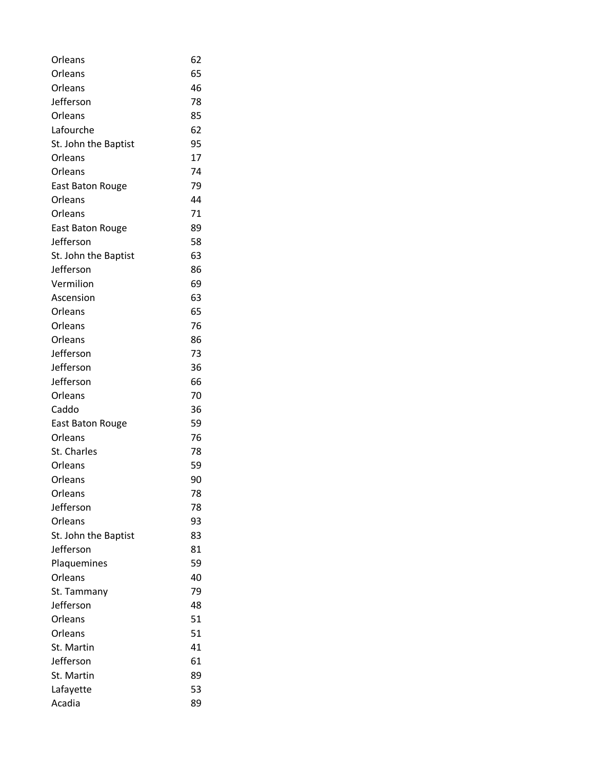| Orleans                 | 62 |
|-------------------------|----|
| Orleans                 | 65 |
| Orleans                 | 46 |
| Jefferson               | 78 |
| Orleans                 | 85 |
| Lafourche               | 62 |
| St. John the Baptist    | 95 |
| Orleans                 | 17 |
| Orleans                 | 74 |
| <b>East Baton Rouge</b> | 79 |
| Orleans                 | 44 |
| Orleans                 | 71 |
| <b>East Baton Rouge</b> | 89 |
| Jefferson               | 58 |
| St. John the Baptist    | 63 |
| Jefferson               | 86 |
| Vermilion               | 69 |
| Ascension               | 63 |
| Orleans                 | 65 |
| Orleans                 | 76 |
| Orleans                 | 86 |
| Jefferson               | 73 |
| Jefferson               | 36 |
| Jefferson               | 66 |
| Orleans                 | 70 |
| Caddo                   | 36 |
| <b>East Baton Rouge</b> | 59 |
| Orleans                 | 76 |
| St. Charles             | 78 |
| Orleans                 | 59 |
| Orleans                 | 90 |
| Orleans                 | 78 |
| Jefferson               | 78 |
| Orleans                 | 93 |
| St. John the Baptist    | 83 |
| Jefferson               | 81 |
| Plaquemines             | 59 |
| Orleans                 | 40 |
| St. Tammany             | 79 |
| Jefferson               | 48 |
| Orleans                 | 51 |
| Orleans                 | 51 |
| St. Martin              | 41 |
| Jefferson               | 61 |
| St. Martin              | 89 |
| Lafayette               | 53 |
| Acadia                  | 89 |